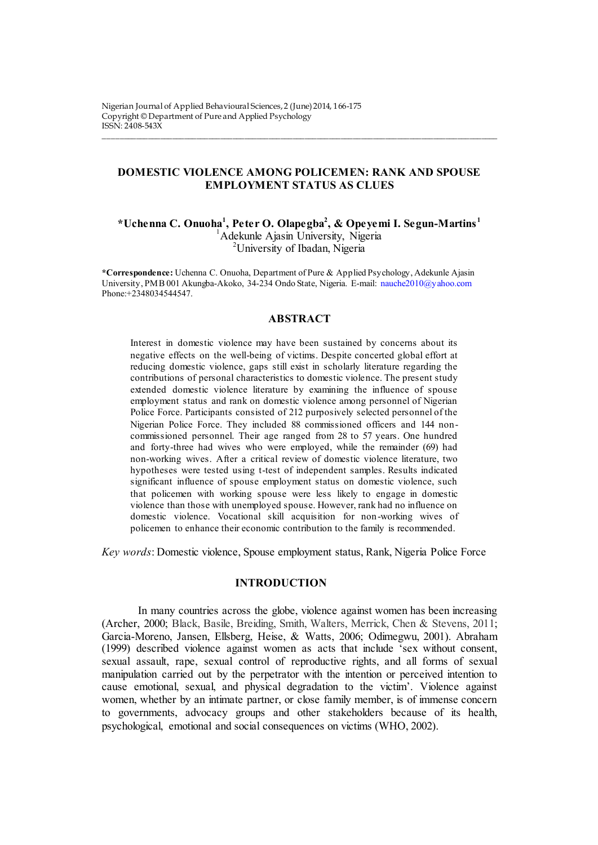# **DOMESTIC VIOLENCE AMONG POLICEMEN: RANK AND SPOUSE EMPLOYMENT STATUS AS CLUES**

\_\_\_\_\_\_\_\_\_\_\_\_\_\_\_\_\_\_\_\_\_\_\_\_\_\_\_\_\_\_\_\_\_\_\_\_\_\_\_\_\_\_\_\_\_\_\_\_\_\_\_\_\_\_\_\_\_\_\_\_\_\_\_\_\_\_\_\_\_\_\_\_\_\_\_\_\_\_\_\_\_\_\_\_\_\_\_\_\_\_\_\_\_\_\_\_\_\_

**\*Uchenna C. Onuoha<sup>1</sup> , Peter O. Olapegba<sup>2</sup> , & Opeyemi I. Segun-Martins <sup>1</sup>** <sup>1</sup>Adekunle Ajasin University, Nigeria <sup>2</sup>University of Ibadan, Nigeria

**\*Correspondence:** Uchenna C. Onuoha, Department of Pure & Applied Psychology, Adekunle Ajasin University, PMB 001 Akungba-Akoko, 34-234 Ondo State, Nigeria. E-mail: [nauche2010@yahoo.com](mailto:nauche2010@yahoo.com) Phone:+2348034544547.

### **ABSTRACT**

Interest in domestic violence may have been sustained by concerns about its negative effects on the well-being of victims. Despite concerted global effort at reducing domestic violence, gaps still exist in scholarly literature regarding the contributions of personal characteristics to domestic violence. The present study extended domestic violence literature by examining the influence of spouse employment status and rank on domestic violence among personnel of Nigerian Police Force. Participants consisted of 212 purposively selected personnel of the Nigerian Police Force. They included 88 commissioned officers and 144 noncommissioned personnel. Their age ranged from 28 to 57 years. One hundred and forty-three had wives who were employed, while the remainder (69) had non-working wives. After a critical review of domestic violence literature, two hypotheses were tested using t-test of independent samples. Results indicated significant influence of spouse employment status on domestic violence, such that policemen with working spouse were less likely to engage in domestic violence than those with unemployed spouse. However, rank had no influence on domestic violence. Vocational skill acquisition for non-working wives of policemen to enhance their economic contribution to the family is recommended.

*Key words*: Domestic violence, Spouse employment status, Rank, Nigeria Police Force

# **INTRODUCTION**

In many countries across the globe, violence against women has been increasing (Archer, 2000; Black, Basile, Breiding, Smith, Walters, Merrick, Chen & Stevens, 2011; Garcia-Moreno, Jansen, Ellsberg, Heise, & Watts, 2006; Odimegwu, 2001). Abraham (1999) described violence against women as acts that include 'sex without consent, sexual assault, rape, sexual control of reproductive rights, and all forms of sexual manipulation carried out by the perpetrator with the intention or perceived intention to cause emotional, sexual, and physical degradation to the victim'. Violence against women, whether by an intimate partner, or close family member, is of immense concern to governments, advocacy groups and other stakeholders because of its health, psychological, emotional and social consequences on victims (WHO, 2002).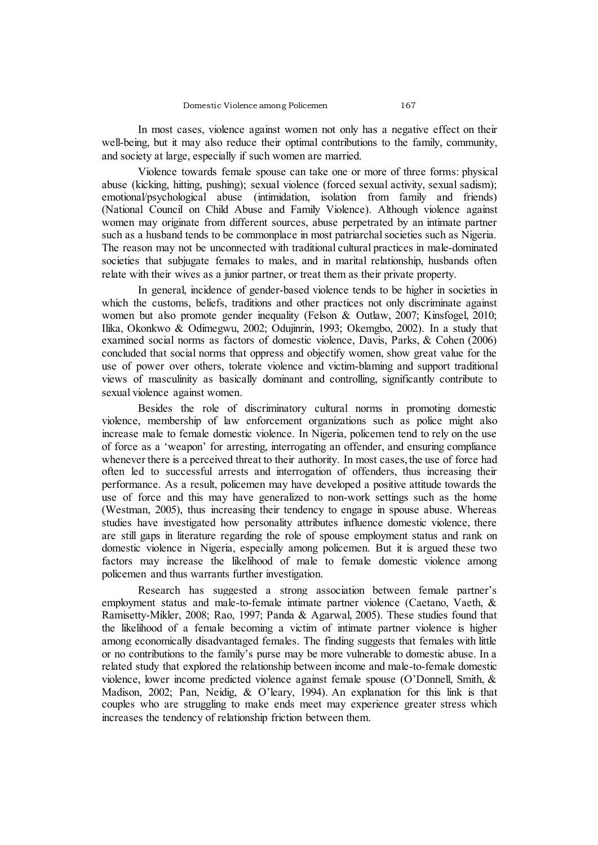In most cases, violence against women not only has a negative effect on their well-being, but it may also reduce their optimal contributions to the family, community, and society at large, especially if such women are married.

Violence towards female spouse can take one or more of three forms: physical abuse (kicking, hitting, pushing); sexual violence (forced sexual activity, sexual sadism); emotional/psychological abuse (intimidation, isolation from family and friends) (National Council on Child Abuse and Family Violence). Although violence against women may originate from different sources, abuse perpetrated by an intimate partner such as a husband tends to be commonplace in most patriarchal societies such as Nigeria. The reason may not be unconnected with traditional cultural practices in male-dominated societies that subjugate females to males, and in marital relationship, husbands often relate with their wives as a junior partner, or treat them as their private property.

In general, incidence of gender-based violence tends to be higher in societies in which the customs, beliefs, traditions and other practices not only discriminate against women but also promote gender inequality (Felson & Outlaw, 2007; Kinsfogel, 2010; Ilika, Okonkwo  $\&$  Odimegwu, 2002; Odujinrin, 1993; Okemgbo, 2002). In a study that examined social norms as factors of domestic violence, Davis, Parks, & Cohen (2006) concluded that social norms that oppress and objectify women, show great value for the use of power over others, tolerate violence and victim-blaming and support traditional views of masculinity as basically dominant and controlling, significantly contribute to sexual violence against women.

Besides the role of discriminatory cultural norms in promoting domestic violence, membership of law enforcement organizations such as police might also increase male to female domestic violence. In Nigeria, policemen tend to rely on the use of force as a 'weapon' for arresting, interrogating an offender, and ensuring compliance whenever there is a perceived threat to their authority. In most cases, the use of force had often led to successful arrests and interrogation of offenders, thus increasing their performance. As a result, policemen may have developed a positive attitude towards the use of force and this may have generalized to non-work settings such as the home (Westman, 2005), thus increasing their tendency to engage in spouse abuse. Whereas studies have investigated how personality attributes influence domestic violence, there are still gaps in literature regarding the role of spouse employment status and rank on domestic violence in Nigeria, especially among policemen. But it is argued these two factors may increase the likelihood of male to female domestic violence among policemen and thus warrants further investigation.

Research has suggested a strong association between female partner's employment status and male-to-female intimate partner violence (Caetano, Vaeth, & Ramisetty-Mikler, 2008; Rao, 1997; Panda & Agarwal, 2005). These studies found that the likelihood of a female becoming a victim of intimate partner violence is higher among economically disadvantaged females. The finding suggests that females with little or no contributions to the family's purse may be more vulnerable to domestic abuse. In a related study that explored the relationship between income and male-to-female domestic violence, lower income predicted violence against female spouse (O'Donnell, Smith, & Madison, 2002; Pan, Neidig, & O'leary, 1994). An explanation for this link is that couples who are struggling to make ends meet may experience greater stress which increases the tendency of relationship friction between them.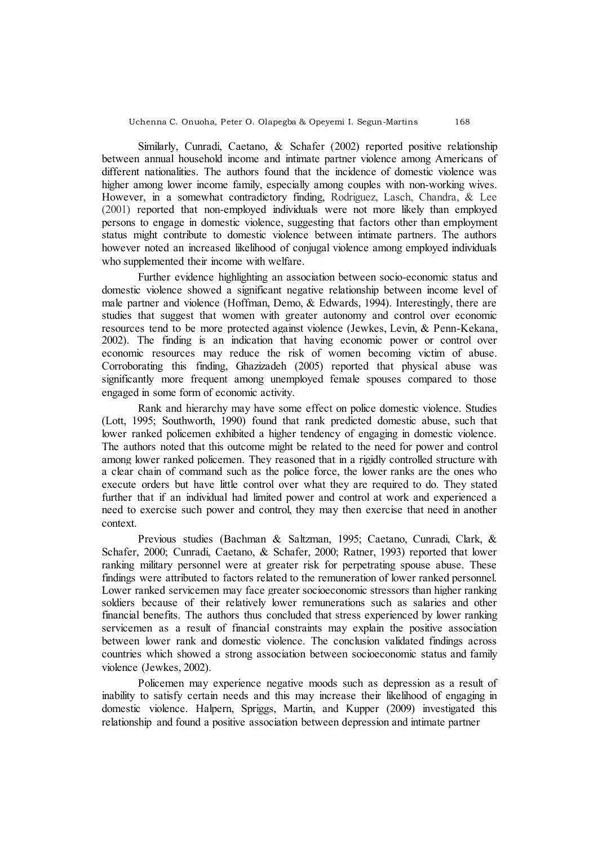Similarly, Cunradi, Caetano, & Schafer (2002) reported positive relationship between annual household income and intimate partner violence among Americans of different nationalities. The authors found that the incidence of domestic violence was higher among lower income family, especially among couples with non-working wives. However, in a somewhat contradictory finding, Rodriguez, Lasch, Chandra, & Lee (2001) reported that non-employed individuals were not more likely than employed persons to engage in domestic violence, suggesting that factors other than employment status might contribute to domestic violence between intimate partners. The authors however noted an increased likelihood of conjugal violence among employed individuals who supplemented their income with welfare.

Further evidence highlighting an association between socio-economic status and domestic violence showed a significant negative relationship between income level of male partner and violence (Hoffman, Demo, & Edwards, 1994). Interestingly, there are studies that suggest that women with greater autonomy and control over economic resources tend to be more protected against violence (Jewkes, Levin, & Penn-Kekana, 2002). The finding is an indication that having economic power or control over economic resources may reduce the risk of women becoming victim of abuse. Corroborating this finding, Ghazizadeh (2005) reported that physical abuse was significantly more frequent among unemployed female spouses compared to those engaged in some form of economic activity.

Rank and hierarchy may have some effect on police domestic violence. Studies (Lott, 1995; Southworth, 1990) found that rank predicted domestic abuse, such that lower ranked policemen exhibited a higher tendency of engaging in domestic violence. The authors noted that this outcome might be related to the need for power and control among lower ranked policemen. They reasoned that in a rigidly controlled structure with a clear chain of command such as the police force, the lower ranks are the ones who execute orders but have little control over what they are required to do. They stated further that if an individual had limited power and control at work and experienced a need to exercise such power and control, they may then exercise that need in another context.

Previous studies (Bachman & Saltzman, 1995; Caetano, Cunradi, Clark, & Schafer, 2000; Cunradi, Caetano, & Schafer, 2000; Ratner, 1993) reported that lower ranking military personnel were at greater risk for perpetrating spouse abuse. These findings were attributed to factors related to the remuneration of lower ranked personnel. Lower ranked servicemen may face greater socioeconomic stressors than higher ranking soldiers because of their relatively lower remunerations such as salaries and other financial benefits. The authors thus concluded that stress experienced by lower ranking servicemen as a result of financial constraints may explain the positive association between lower rank and domestic violence. The conclusion validated findings across countries which showed a strong association between socioeconomic status and family violence (Jewkes, 2002).

Policemen may experience negative moods such as depression as a result of inability to satisfy certain needs and this may increase their likelihood of engaging in domestic violence. Halpern, Spriggs, Martin, and Kupper (2009) investigated this relationship and found a positive association between depression and intimate partner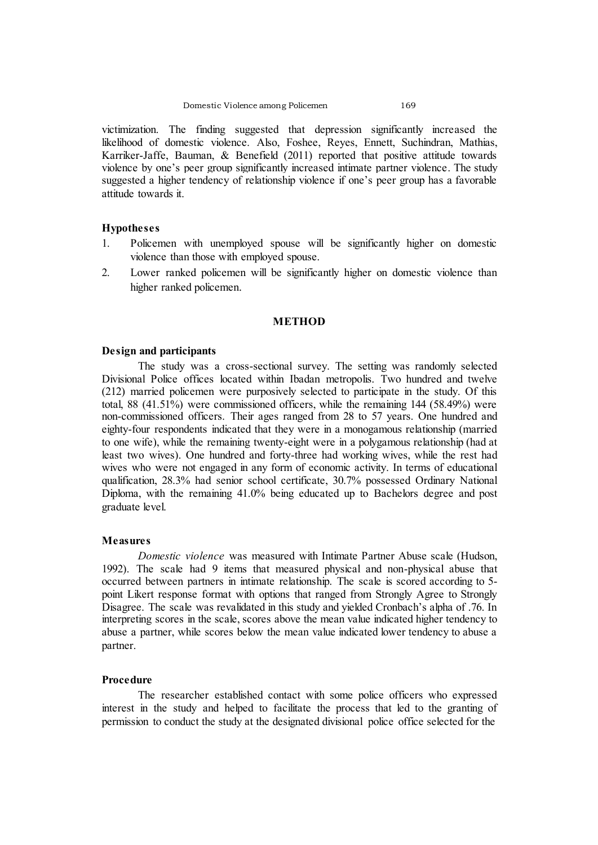victimization. The finding suggested that depression significantly increased the likelihood of domestic violence. Also, Foshee, Reyes, Ennett, Suchindran, Mathias, Karriker-Jaffe, Bauman, & Benefield (2011) reported that positive attitude towards violence by one's peer group significantly increased intimate partner violence. The study suggested a higher tendency of relationship violence if one's peer group has a favorable attitude towards it.

### **Hypotheses**

- 1. Policemen with unemployed spouse will be significantly higher on domestic violence than those with employed spouse.
- 2. Lower ranked policemen will be significantly higher on domestic violence than higher ranked policemen.

#### **METHOD**

#### **Design and participants**

The study was a cross-sectional survey. The setting was randomly selected Divisional Police offices located within Ibadan metropolis. Two hundred and twelve (212) married policemen were purposively selected to participate in the study. Of this total, 88 (41.51%) were commissioned officers, while the remaining 144 (58.49%) were non-commissioned officers. Their ages ranged from 28 to 57 years. One hundred and eighty-four respondents indicated that they were in a monogamous relationship (married to one wife), while the remaining twenty-eight were in a polygamous relationship (had at least two wives). One hundred and forty-three had working wives, while the rest had wives who were not engaged in any form of economic activity. In terms of educational qualification, 28.3% had senior school certificate, 30.7% possessed Ordinary National Diploma, with the remaining 41.0% being educated up to Bachelors degree and post graduate level.

#### **Measures**

*Domestic violence* was measured with Intimate Partner Abuse scale (Hudson, 1992). The scale had 9 items that measured physical and non-physical abuse that occurred between partners in intimate relationship. The scale is scored according to 5 point Likert response format with options that ranged from Strongly Agree to Strongly Disagree. The scale was revalidated in this study and yielded Cronbach's alpha of .76. In interpreting scores in the scale, scores above the mean value indicated higher tendency to abuse a partner, while scores below the mean value indicated lower tendency to abuse a partner.

## **Procedure**

The researcher established contact with some police officers who expressed interest in the study and helped to facilitate the process that led to the granting of permission to conduct the study at the designated divisional police office selected for the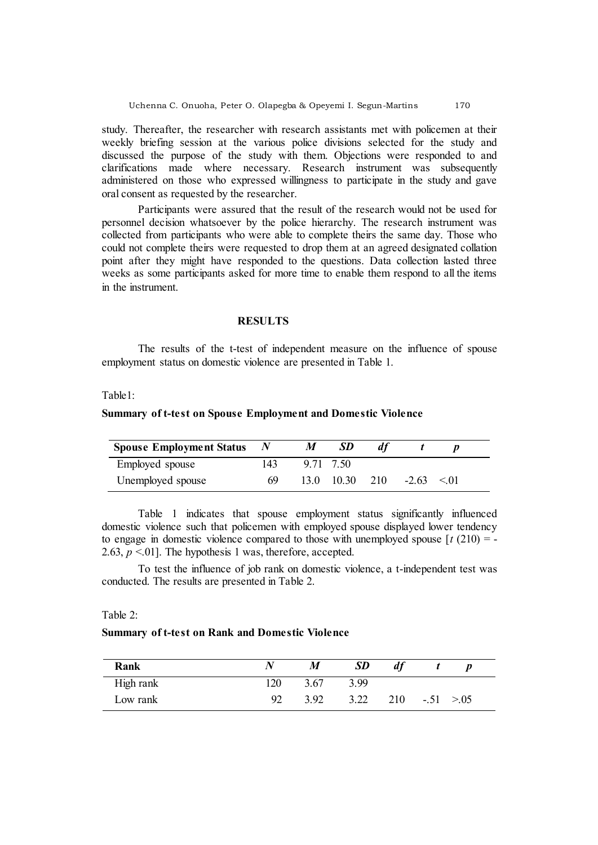study. Thereafter, the researcher with research assistants met with policemen at their weekly briefing session at the various police divisions selected for the study and discussed the purpose of the study with them. Objections were responded to and clarifications made where necessary. Research instrument was subsequently administered on those who expressed willingness to participate in the study and gave oral consent as requested by the researcher.

Participants were assured that the result of the research would not be used for personnel decision whatsoever by the police hierarchy. The research instrument was collected from participants who were able to complete theirs the same day. Those who could not complete theirs were requested to drop them at an agreed designated collation point after they might have responded to the questions. Data collection lasted three weeks as some participants asked for more time to enable them respond to all the items in the instrument.

### **RESULTS**

The results of the t-test of independent measure on the influence of spouse employment status on domestic violence are presented in Table 1.

### Table1:

# **Summary of t-test on Spouse Employment and Domestic Violence**

| <b>Spouse Employment Status</b> |     | М | -SD                |     |         |      |  |
|---------------------------------|-----|---|--------------------|-----|---------|------|--|
| Employed spouse                 | 143 |   | 9 71 7 50          |     |         |      |  |
| Unemployed spouse               | 69  |   | $13.0 \quad 10.30$ | 210 | $-2.63$ | < 01 |  |

Table 1 indicates that spouse employment status significantly influenced domestic violence such that policemen with employed spouse displayed lower tendency to engage in domestic violence compared to those with unemployed spouse  $\lceil t (210) = -1 \rceil$ 2.63,  $p \le 01$ . The hypothesis 1 was, therefore, accepted.

To test the influence of job rank on domestic violence, a t-independent test was conducted. The results are presented in Table 2.

### Table 2:

### **Summary of t-test on Rank and Domestic Violence**

| Rank      |     | M    | <b>SD</b> |     |              | D |  |
|-----------|-----|------|-----------|-----|--------------|---|--|
| High rank | 120 | 3.67 | 3.99      |     |              |   |  |
| Low rank  | 92  | 3.92 | 3.22      | 210 | $-.51 > .05$ |   |  |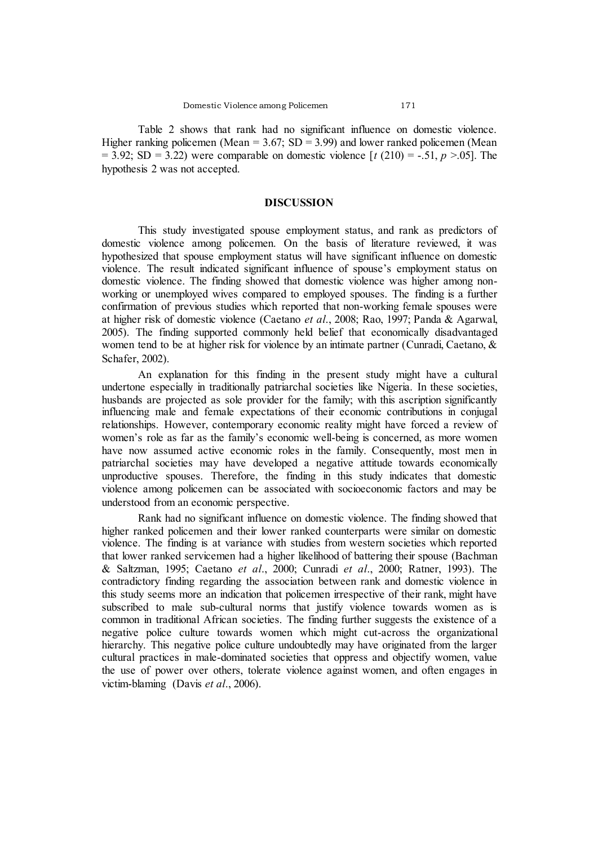Table 2 shows that rank had no significant influence on domestic violence. Higher ranking policemen (Mean =  $3.67$ ; SD =  $3.99$ ) and lower ranked policemen (Mean  $= 3.92$ ; SD  $= 3.22$ ) were comparable on domestic violence [ $t(210) = -.51, p > .05$ ]. The hypothesis 2 was not accepted.

#### **DISCUSSION**

This study investigated spouse employment status, and rank as predictors of domestic violence among policemen. On the basis of literature reviewed, it was hypothesized that spouse employment status will have significant influence on domestic violence. The result indicated significant influence of spouse's employment status on domestic violence. The finding showed that domestic violence was higher among nonworking or unemployed wives compared to employed spouses. The finding is a further confirmation of previous studies which reported that non-working female spouses were at higher risk of domestic violence (Caetano *et al*., 2008; Rao, 1997; Panda & Agarwal, 2005). The finding supported commonly held belief that economically disadvantaged women tend to be at higher risk for violence by an intimate partner (Cunradi, Caetano, & Schafer, 2002).

An explanation for this finding in the present study might have a cultural undertone especially in traditionally patriarchal societies like Nigeria. In these societies, husbands are projected as sole provider for the family; with this ascription significantly influencing male and female expectations of their economic contributions in conjugal relationships. However, contemporary economic reality might have forced a review of women's role as far as the family's economic well-being is concerned, as more women have now assumed active economic roles in the family. Consequently, most men in patriarchal societies may have developed a negative attitude towards economically unproductive spouses. Therefore, the finding in this study indicates that domestic violence among policemen can be associated with socioeconomic factors and may be understood from an economic perspective.

Rank had no significant influence on domestic violence. The finding showed that higher ranked policemen and their lower ranked counterparts were similar on domestic violence. The finding is at variance with studies from western societies which reported that lower ranked servicemen had a higher likelihood of battering their spouse (Bachman & Saltzman, 1995; Caetano *et al*., 2000; Cunradi *et al*., 2000; Ratner, 1993). The contradictory finding regarding the association between rank and domestic violence in this study seems more an indication that policemen irrespective of their rank, might have subscribed to male sub-cultural norms that justify violence towards women as is common in traditional African societies. The finding further suggests the existence of a negative police culture towards women which might cut-across the organizational hierarchy. This negative police culture undoubtedly may have originated from the larger cultural practices in male-dominated societies that oppress and objectify women, value the use of power over others, tolerate violence against women, and often engages in victim-blaming (Davis *et al*., 2006).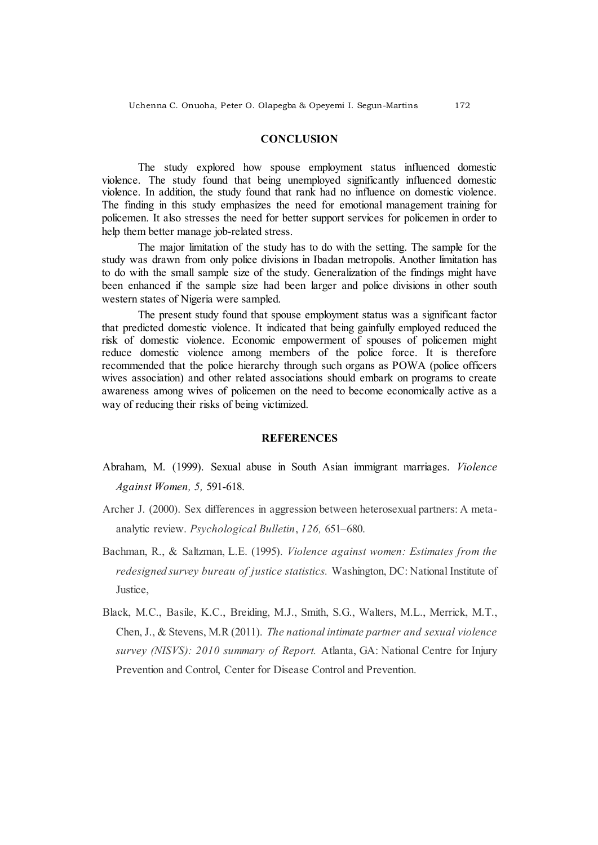# **CONCLUSION**

The study explored how spouse employment status influenced domestic violence. The study found that being unemployed significantly influenced domestic violence. In addition, the study found that rank had no influence on domestic violence. The finding in this study emphasizes the need for emotional management training for policemen. It also stresses the need for better support services for policemen in order to help them better manage job-related stress.

The major limitation of the study has to do with the setting. The sample for the study was drawn from only police divisions in Ibadan metropolis. Another limitation has to do with the small sample size of the study. Generalization of the findings might have been enhanced if the sample size had been larger and police divisions in other south western states of Nigeria were sampled.

The present study found that spouse employment status was a significant factor that predicted domestic violence. It indicated that being gainfully employed reduced the risk of domestic violence. Economic empowerment of spouses of policemen might reduce domestic violence among members of the police force. It is therefore recommended that the police hierarchy through such organs as POWA (police officers wives association) and other related associations should embark on programs to create awareness among wives of policemen on the need to become economically active as a way of reducing their risks of being victimized.

#### **REFERENCES**

- Abraham, M. (1999). Sexual abuse in South Asian immigrant marriages. *Violence Against Women, 5,* 591-618.
- Archer J. (2000). Sex differences in aggression between heterosexual partners: A metaanalytic review. *Psychological Bulletin*, *126,* 651–680.
- Bachman, R., & Saltzman, L.E. (1995). *Violence against women: Estimates from the redesigned survey bureau of justice statistics.* Washington, DC: National Institute of Justice,
- Black, M.C., Basile, K.C., Breiding, M.J., Smith, S.G., Walters, M.L., Merrick, M.T., Chen, J., & Stevens, M.R (2011). *The national intimate partner and sexual violence survey (NISVS): 2010 summary of Report.* Atlanta, GA: National Centre for Injury Prevention and Control, Center for Disease Control and Prevention.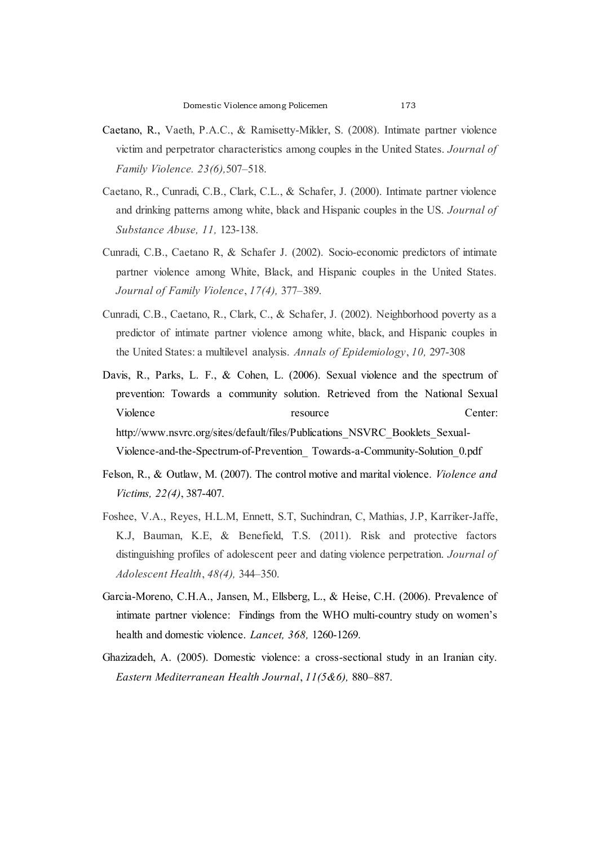- Caetano, R., Vaeth, P.A.C., & Ramisetty-Mikler, S. (2008). Intimate partner violence victim and perpetrator characteristics among couples in the United States. *Journal of Family Violence. 23(6),*507–518.
- Caetano, R., Cunradi, C.B., Clark, C.L., & Schafer, J. (2000). Intimate partner violence and drinking patterns among white, black and Hispanic couples in the US. *Journal of Substance Abuse, 11,* 123-138.
- Cunradi, C.B., Caetano R, & Schafer J. (2002). Socio-economic predictors of intimate partner violence among White, Black, and Hispanic couples in the United States. *Journal of Family Violence*, *17(4),* 377–389.
- Cunradi, C.B., Caetano, R., Clark, C., & Schafer, J. (2002). Neighborhood poverty as a predictor of intimate partner violence among white, black, and Hispanic couples in the United States: a multilevel analysis. *Annals of Epidemiology*, *10,* 297-308
- Davis, R., Parks, L. F., & Cohen, L. (2006). Sexual violence and the spectrum of prevention: Towards a community solution. Retrieved from the National Sexual Violence resource resource Center: http://www.nsvrc.org/sites/default/files/Publications\_NSVRC\_Booklets\_Sexual-Violence-and-the-Spectrum-of-Prevention\_ Towards-a-Community-Solution\_0.pdf
- Felson, R., & Outlaw, M. (2007). The control motive and marital violence. *Violence and Victims, 22(4)*, 387-407.
- Foshee, V.A., Reyes, H.L.M, Ennett, S.T, Suchindran, C, Mathias, J.P, Karriker-Jaffe, K.J, Bauman, K.E, & Benefield, T.S. (2011). Risk and protective factors distinguishing profiles of adolescent peer and dating violence perpetration. *Journal of Adolescent Health*, *48(4),* 344–350.
- Garcia-Moreno, C.H.A., Jansen, M., Ellsberg, L., & Heise, C.H. (2006). Prevalence of intimate partner violence: Findings from the WHO multi-country study on women's health and domestic violence. *Lancet, 368,* 1260-1269.
- Ghazizadeh, A. (2005). Domestic violence: a cross-sectional study in an Iranian city. *Eastern Mediterranean Health Journal*, *11(5&6),* 880–887.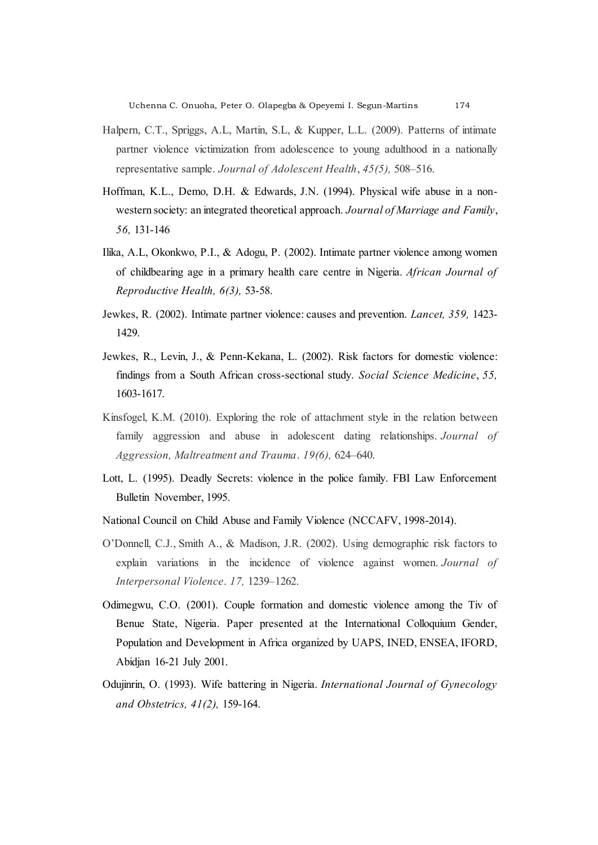- Halpern, C.T., Spriggs, A.L, Martin, S.L, & Kupper, L.L. (2009). Patterns of intimate partner violence victimization from adolescence to young adulthood in a nationally representative sample. *Journal of Adolescent Health*, *45(5),* 508–516.
- Hoffman, K.L., Demo, D.H. & Edwards, J.N. (1994). Physical wife abuse in a nonwestern society: an integrated theoretical approach. *Journal of Marriage and Family*, *56,* 131-146
- Ilika, A.L, Okonkwo, P.I., & Adogu, P. (2002). Intimate partner violence among women of childbearing age in a primary health care centre in Nigeria. *African Journal of Reproductive Health, 6(3),* 53-58.
- Jewkes, R. (2002). Intimate partner violence: causes and prevention. *Lancet, 359,* 1423- 1429.
- Jewkes, R., Levin, J., & Penn-Kekana, L. (2002). Risk factors for domestic violence: findings from a South African cross-sectional study. *Social Science Medicine*, *55,* 1603-1617.
- Kinsfogel, K.M. (2010). Exploring the role of attachment style in the relation between family aggression and abuse in adolescent dating relationships. *Journal of Aggression, Maltreatment and Trauma*. *19(6),* 624–640.
- Lott, L. (1995). Deadly Secrets: violence in the police family. FBI Law Enforcement Bulletin November, 1995.
- National Council on Child Abuse and Family Violence (NCCAFV, 1998-2014).
- O'Donnell, C.J., Smith A., & Madison, J.R. (2002). Using demographic risk factors to explain variations in the incidence of violence against women. *Journal of Interpersonal Violence*. *17,* 1239–1262.
- Odimegwu, C.O. (2001). Couple formation and domestic violence among the Tiv of Benue State, Nigeria. Paper presented at the International Colloquium Gender, Population and Development in Africa organized by UAPS, INED, ENSEA, IFORD, Abidjan 16-21 July 2001.
- Odujinrin, O. (1993). Wife battering in Nigeria. *International Journal of Gynecology and Obstetrics, 41(2),* 159-164.